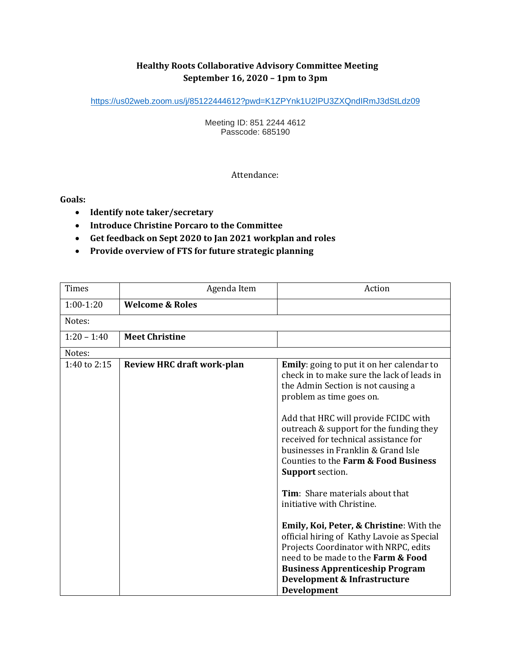# **Healthy Roots Collaborative Advisory Committee Meeting September 16, 2020 – 1pm to 3pm**

[https://us02web.zoom.us/j/85122444612?pwd=K1ZPYnk1U2lPU3ZXQndIRmJ3dStLdz09](https://www.google.com/url?q=https%3A%2F%2Fus02web.zoom.us%2Fj%2F85122444612%3Fpwd%3DK1ZPYnk1U2lPU3ZXQndIRmJ3dStLdz09&sa=D&ust=1599071782136000&usg=AOvVaw183sE9RluX7HsuWLW20VAX)

Meeting ID: 851 2244 4612 Passcode: 685190

### Attendance:

**Goals:**

- **Identify note taker/secretary**
- **Introduce Christine Porcaro to the Committee**
- **Get feedback on Sept 2020 to Jan 2021 workplan and roles**
- **Provide overview of FTS for future strategic planning**

| <b>Times</b>  | Agenda Item                       | Action                                                                                                                                                                                                                                                                                                                                                                                                                                                                                                                                                                                                                                                                                                                                           |  |
|---------------|-----------------------------------|--------------------------------------------------------------------------------------------------------------------------------------------------------------------------------------------------------------------------------------------------------------------------------------------------------------------------------------------------------------------------------------------------------------------------------------------------------------------------------------------------------------------------------------------------------------------------------------------------------------------------------------------------------------------------------------------------------------------------------------------------|--|
| $1:00-1:20$   | <b>Welcome &amp; Roles</b>        |                                                                                                                                                                                                                                                                                                                                                                                                                                                                                                                                                                                                                                                                                                                                                  |  |
| Notes:        |                                   |                                                                                                                                                                                                                                                                                                                                                                                                                                                                                                                                                                                                                                                                                                                                                  |  |
| $1:20 - 1:40$ | <b>Meet Christine</b>             |                                                                                                                                                                                                                                                                                                                                                                                                                                                                                                                                                                                                                                                                                                                                                  |  |
| Notes:        |                                   |                                                                                                                                                                                                                                                                                                                                                                                                                                                                                                                                                                                                                                                                                                                                                  |  |
| 1:40 to 2:15  | <b>Review HRC draft work-plan</b> | <b>Emily:</b> going to put it on her calendar to<br>check in to make sure the lack of leads in<br>the Admin Section is not causing a<br>problem as time goes on.<br>Add that HRC will provide FCIDC with<br>outreach & support for the funding they<br>received for technical assistance for<br>businesses in Franklin & Grand Isle<br>Counties to the Farm & Food Business<br><b>Support</b> section.<br>Tim: Share materials about that<br>initiative with Christine.<br>Emily, Koi, Peter, & Christine: With the<br>official hiring of Kathy Lavoie as Special<br>Projects Coordinator with NRPC, edits<br>need to be made to the Farm & Food<br><b>Business Apprenticeship Program</b><br>Development & Infrastructure<br><b>Development</b> |  |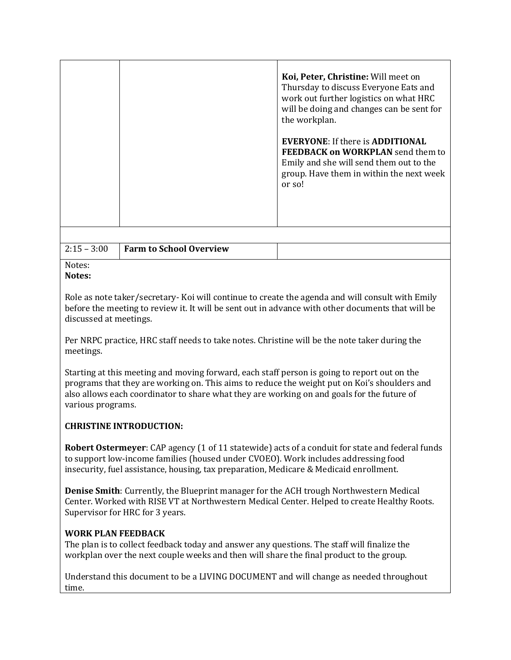| Koi, Peter, Christine: Will meet on<br>Thursday to discuss Everyone Eats and<br>work out further logistics on what HRC<br>will be doing and changes can be sent for<br>the workplan. |
|--------------------------------------------------------------------------------------------------------------------------------------------------------------------------------------|
| <b>EVERYONE:</b> If there is <b>ADDITIONAL</b><br><b>FEEDBACK on WORKPLAN</b> send them to<br>Emily and she will send them out to the<br>group. Have them in within the next week    |
|                                                                                                                                                                                      |

| $ 2:15 - 3:00$ | <b>Farm to School Overview</b> |  |
|----------------|--------------------------------|--|

#### Notes: **Notes:**

Role as note taker/secretary- Koi will continue to create the agenda and will consult with Emily before the meeting to review it. It will be sent out in advance with other documents that will be discussed at meetings.

Per NRPC practice, HRC staff needs to take notes. Christine will be the note taker during the meetings.

Starting at this meeting and moving forward, each staff person is going to report out on the programs that they are working on. This aims to reduce the weight put on Koi's shoulders and also allows each coordinator to share what they are working on and goals for the future of various programs.

# **CHRISTINE INTRODUCTION:**

**Robert Ostermeyer**: CAP agency (1 of 11 statewide) acts of a conduit for state and federal funds to support low-income families (housed under CVOEO). Work includes addressing food insecurity, fuel assistance, housing, tax preparation, Medicare & Medicaid enrollment.

**Denise Smith**: Currently, the Blueprint manager for the ACH trough Northwestern Medical Center. Worked with RISE VT at Northwestern Medical Center. Helped to create Healthy Roots. Supervisor for HRC for 3 years.

### **WORK PLAN FEEDBACK**

The plan is to collect feedback today and answer any questions. The staff will finalize the workplan over the next couple weeks and then will share the final product to the group.

Understand this document to be a LIVING DOCUMENT and will change as needed throughout time.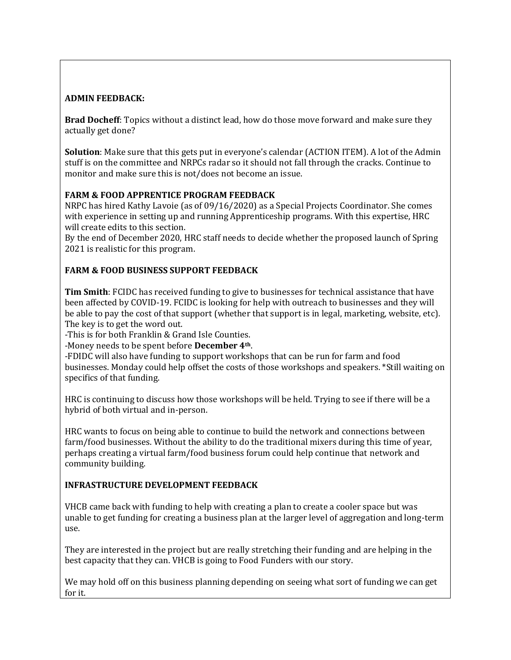## **ADMIN FEEDBACK:**

**Brad Docheff**: Topics without a distinct lead, how do those move forward and make sure they actually get done?

**Solution**: Make sure that this gets put in everyone's calendar (ACTION ITEM). A lot of the Admin stuff is on the committee and NRPCs radar so it should not fall through the cracks. Continue to monitor and make sure this is not/does not become an issue.

## **FARM & FOOD APPRENTICE PROGRAM FEEDBACK**

NRPC has hired Kathy Lavoie (as of 09/16/2020) as a Special Projects Coordinator. She comes with experience in setting up and running Apprenticeship programs. With this expertise, HRC will create edits to this section.

By the end of December 2020, HRC staff needs to decide whether the proposed launch of Spring 2021 is realistic for this program.

## **FARM & FOOD BUSINESS SUPPORT FEEDBACK**

**Tim Smith**: FCIDC has received funding to give to businesses for technical assistance that have been affected by COVID-19. FCIDC is looking for help with outreach to businesses and they will be able to pay the cost of that support (whether that support is in legal, marketing, website, etc). The key is to get the word out.

-This is for both Franklin & Grand Isle Counties.

-Money needs to be spent before **December 4th**.

-FDIDC will also have funding to support workshops that can be run for farm and food businesses. Monday could help offset the costs of those workshops and speakers. \*Still waiting on specifics of that funding.

HRC is continuing to discuss how those workshops will be held. Trying to see if there will be a hybrid of both virtual and in-person.

HRC wants to focus on being able to continue to build the network and connections between farm/food businesses. Without the ability to do the traditional mixers during this time of year, perhaps creating a virtual farm/food business forum could help continue that network and community building.

### **INFRASTRUCTURE DEVELOPMENT FEEDBACK**

VHCB came back with funding to help with creating a plan to create a cooler space but was unable to get funding for creating a business plan at the larger level of aggregation and long-term use.

They are interested in the project but are really stretching their funding and are helping in the best capacity that they can. VHCB is going to Food Funders with our story.

We may hold off on this business planning depending on seeing what sort of funding we can get for it.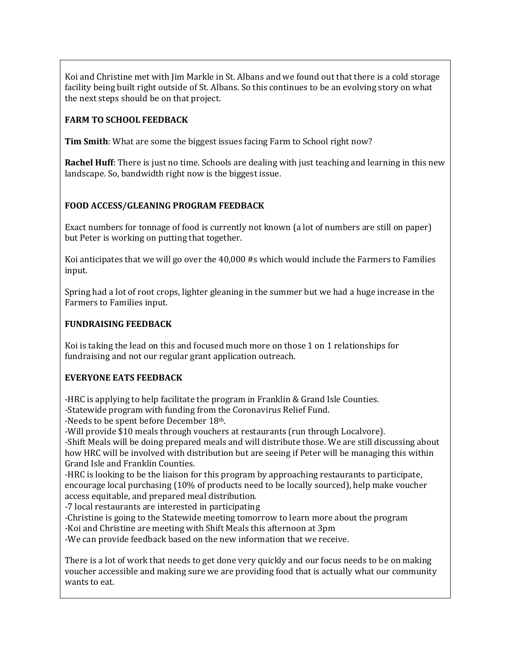Koi and Christine met with Jim Markle in St. Albans and we found out that there is a cold storage facility being built right outside of St. Albans. So this continues to be an evolving story on what the next steps should be on that project.

## **FARM TO SCHOOL FEEDBACK**

**Tim Smith**: What are some the biggest issues facing Farm to School right now?

**Rachel Huff**: There is just no time. Schools are dealing with just teaching and learning in this new landscape. So, bandwidth right now is the biggest issue.

## **FOOD ACCESS/GLEANING PROGRAM FEEDBACK**

Exact numbers for tonnage of food is currently not known (a lot of numbers are still on paper) but Peter is working on putting that together.

Koi anticipates that we will go over the 40,000 #s which would include the Farmers to Families input.

Spring had a lot of root crops, lighter gleaning in the summer but we had a huge increase in the Farmers to Families input.

### **FUNDRAISING FEEDBACK**

Koi is taking the lead on this and focused much more on those 1 on 1 relationships for fundraising and not our regular grant application outreach.

### **EVERYONE EATS FEEDBACK**

-HRC is applying to help facilitate the program in Franklin & Grand Isle Counties.

-Statewide program with funding from the Coronavirus Relief Fund.

-Needs to be spent before December 18th.

-Will provide \$10 meals through vouchers at restaurants (run through Localvore).

-Shift Meals will be doing prepared meals and will distribute those. We are still discussing about how HRC will be involved with distribution but are seeing if Peter will be managing this within Grand Isle and Franklin Counties.

-HRC is looking to be the liaison for this program by approaching restaurants to participate, encourage local purchasing (10% of products need to be locally sourced), help make voucher access equitable, and prepared meal distribution.

-7 local restaurants are interested in participating

-Christine is going to the Statewide meeting tomorrow to learn more about the program

-Koi and Christine are meeting with Shift Meals this afternoon at 3pm

-We can provide feedback based on the new information that we receive.

There is a lot of work that needs to get done very quickly and our focus needs to be on making voucher accessible and making sure we are providing food that is actually what our community wants to eat.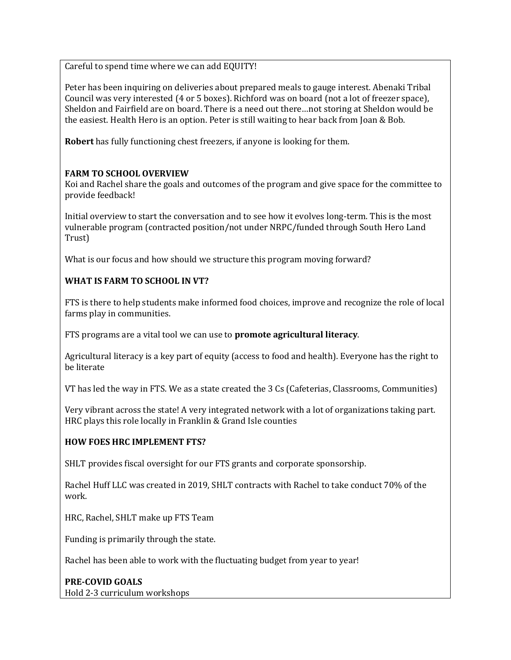Careful to spend time where we can add EQUITY!

Peter has been inquiring on deliveries about prepared meals to gauge interest. Abenaki Tribal Council was very interested (4 or 5 boxes). Richford was on board (not a lot of freezer space), Sheldon and Fairfield are on board. There is a need out there…not storing at Sheldon would be the easiest. Health Hero is an option. Peter is still waiting to hear back from Joan & Bob.

**Robert** has fully functioning chest freezers, if anyone is looking for them.

## **FARM TO SCHOOL OVERVIEW**

Koi and Rachel share the goals and outcomes of the program and give space for the committee to provide feedback!

Initial overview to start the conversation and to see how it evolves long-term. This is the most vulnerable program (contracted position/not under NRPC/funded through South Hero Land Trust)

What is our focus and how should we structure this program moving forward?

## **WHAT IS FARM TO SCHOOL IN VT?**

FTS is there to help students make informed food choices, improve and recognize the role of local farms play in communities.

FTS programs are a vital tool we can use to **promote agricultural literacy**.

Agricultural literacy is a key part of equity (access to food and health). Everyone has the right to be literate

VT has led the way in FTS. We as a state created the 3 Cs (Cafeterias, Classrooms, Communities)

Very vibrant across the state! A very integrated network with a lot of organizations taking part. HRC plays this role locally in Franklin & Grand Isle counties

### **HOW FOES HRC IMPLEMENT FTS?**

SHLT provides fiscal oversight for our FTS grants and corporate sponsorship.

Rachel Huff LLC was created in 2019, SHLT contracts with Rachel to take conduct 70% of the work.

HRC, Rachel, SHLT make up FTS Team

Funding is primarily through the state.

Rachel has been able to work with the fluctuating budget from year to year!

**PRE-COVID GOALS** Hold 2-3 curriculum workshops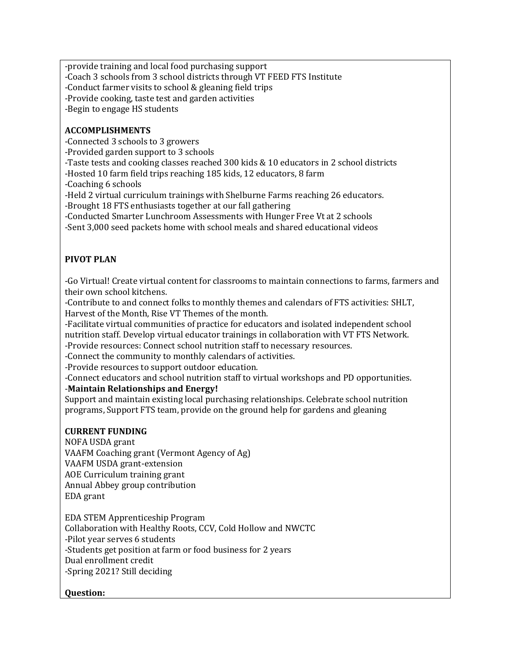-provide training and local food purchasing support

-Coach 3 schools from 3 school districts through VT FEED FTS Institute

-Conduct farmer visits to school & gleaning field trips

-Provide cooking, taste test and garden activities

-Begin to engage HS students

## **ACCOMPLISHMENTS**

-Connected 3 schools to 3 growers

-Provided garden support to 3 schools

-Taste tests and cooking classes reached 300 kids & 10 educators in 2 school districts

-Hosted 10 farm field trips reaching 185 kids, 12 educators, 8 farm

-Coaching 6 schools

-Held 2 virtual curriculum trainings with Shelburne Farms reaching 26 educators.

-Brought 18 FTS enthusiasts together at our fall gathering

-Conducted Smarter Lunchroom Assessments with Hunger Free Vt at 2 schools

-Sent 3,000 seed packets home with school meals and shared educational videos

# **PIVOT PLAN**

-Go Virtual! Create virtual content for classrooms to maintain connections to farms, farmers and their own school kitchens.

-Contribute to and connect folks to monthly themes and calendars of FTS activities: SHLT, Harvest of the Month, Rise VT Themes of the month.

-Facilitate virtual communities of practice for educators and isolated independent school nutrition staff. Develop virtual educator trainings in collaboration with VT FTS Network.

-Provide resources: Connect school nutrition staff to necessary resources.

-Connect the community to monthly calendars of activities.

-Provide resources to support outdoor education.

-Connect educators and school nutrition staff to virtual workshops and PD opportunities.

### -**Maintain Relationships and Energy!**

Support and maintain existing local purchasing relationships. Celebrate school nutrition programs, Support FTS team, provide on the ground help for gardens and gleaning

### **CURRENT FUNDING**

NOFA USDA grant VAAFM Coaching grant (Vermont Agency of Ag) VAAFM USDA grant-extension AOE Curriculum training grant Annual Abbey group contribution EDA grant

EDA STEM Apprenticeship Program Collaboration with Healthy Roots, CCV, Cold Hollow and NWCTC -Pilot year serves 6 students -Students get position at farm or food business for 2 years Dual enrollment credit -Spring 2021? Still deciding

### **Question:**